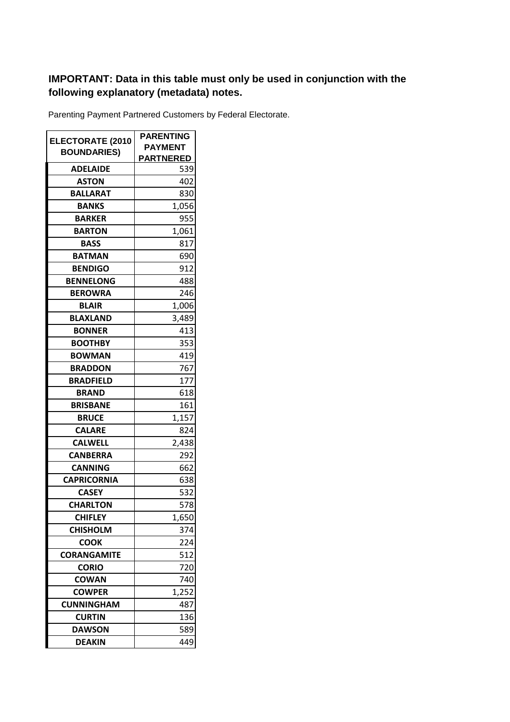## **IMPORTANT: Data in this table must only be used in conjunction with the following explanatory (metadata) notes.**

Parenting Payment Partnered Customers by Federal Electorate.

| <b>ELECTORATE (2010</b> | <b>PARENTING</b> |
|-------------------------|------------------|
| <b>BOUNDARIES)</b>      | <b>PAYMENT</b>   |
|                         | <u>PARTNERED</u> |
| <b>ADELAIDE</b>         | 539              |
| <b>ASTON</b>            | 402              |
| <b>BALLARAT</b>         | 830              |
| <b>BANKS</b>            | 1,056            |
| <b>BARKER</b>           | 955              |
| <b>BARTON</b>           | 1,061            |
| <b>BASS</b>             | 817              |
| <b>BATMAN</b>           | 690              |
| <b>BENDIGO</b>          | 912              |
| <b>BENNELONG</b>        | 488              |
| <b>BEROWRA</b>          | 246              |
| <b>BLAIR</b>            | 1,006            |
| <b>BLAXLAND</b>         | 3,489            |
| <b>BONNER</b>           | 413              |
| <b>BOOTHBY</b>          | 353              |
| <b>BOWMAN</b>           | 419              |
| <b>BRADDON</b>          | 767              |
| <b>BRADFIELD</b>        | 177              |
| <b>BRAND</b>            | 618              |
| <b>BRISBANE</b>         | 161              |
| <b>BRUCE</b>            | 1,157            |
| <b>CALARE</b>           | 824              |
| <b>CALWELL</b>          | 2,438            |
| <b>CANBERRA</b>         | 292              |
| <b>CANNING</b>          | 662              |
| <b>CAPRICORNIA</b>      | 638              |
| <b>CASEY</b>            | 532              |
| <b>CHARLTON</b>         | 578              |
| <b>CHIFLEY</b>          | 1,650            |
| <b>CHISHOLM</b>         | 374              |
| <b>COOK</b>             | 224              |
| <b>CORANGAMITE</b>      | 512              |
| <b>CORIO</b>            | 720              |
| COWAN                   | 740              |
| <b>COWPER</b>           | 1,252            |
| <b>CUNNINGHAM</b>       | 487              |
| <b>CURTIN</b>           | 136              |
| <b>DAWSON</b>           | 589              |
| <b>DEAKIN</b>           | 449              |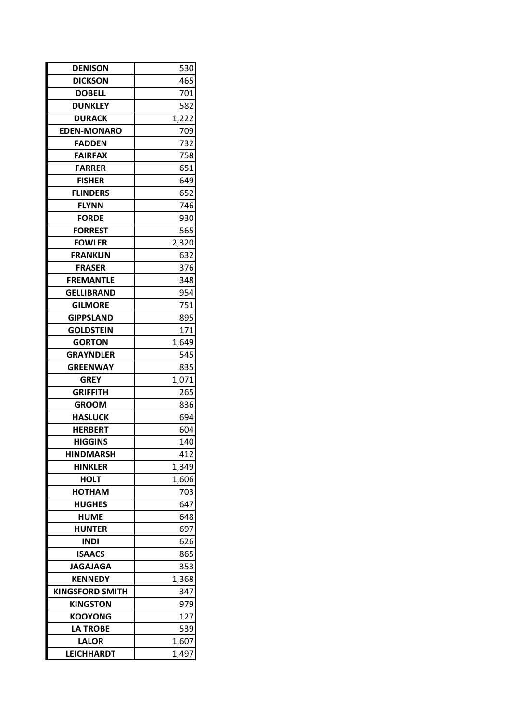| <b>DENISON</b>         | 530   |  |
|------------------------|-------|--|
| <b>DICKSON</b>         | 465   |  |
| <b>DOBELL</b>          | 701   |  |
| <b>DUNKLEY</b>         | 582   |  |
| <b>DURACK</b>          | 1,222 |  |
| <b>EDEN-MONARO</b>     | 709   |  |
| <b>FADDEN</b>          | 732   |  |
| <b>FAIRFAX</b>         | 758   |  |
| <b>FARRER</b>          | 651   |  |
| <b>FISHER</b>          | 649   |  |
| <b>FLINDERS</b>        | 652   |  |
| <b>FLYNN</b>           | 746   |  |
| <b>FORDE</b>           | 930   |  |
| <b>FORREST</b>         | 565   |  |
| <b>FOWLER</b>          | 2,320 |  |
| <b>FRANKLIN</b>        | 632   |  |
| <b>FRASER</b>          | 376   |  |
| <b>FREMANTLE</b>       | 348   |  |
| <b>GELLIBRAND</b>      | 954   |  |
| <b>GILMORE</b>         | 751   |  |
| <b>GIPPSLAND</b>       | 895   |  |
| <b>GOLDSTEIN</b>       | 171   |  |
| <b>GORTON</b>          | 1,649 |  |
| <b>GRAYNDLER</b>       | 545   |  |
| <b>GREENWAY</b>        | 835   |  |
| <b>GREY</b>            | 1,071 |  |
| <b>GRIFFITH</b>        | 265   |  |
| <b>GROOM</b>           | 836   |  |
| <b>HASLUCK</b>         | 694   |  |
| <b>HERBERT</b>         | 604   |  |
| <b>HIGGINS</b>         | 140   |  |
| <b>HINDMARSH</b>       | 412   |  |
| <b>HINKLER</b>         | 1,349 |  |
| <b>HOLT</b>            | 1,606 |  |
| <b>HOTHAM</b>          | 703   |  |
| <b>HUGHES</b>          | 647   |  |
| HUME                   | 648   |  |
| <b>HUNTER</b>          | 697   |  |
| <b>INDI</b>            | 626   |  |
| <b>ISAACS</b>          | 865   |  |
| <b>JAGAJAGA</b>        | 353   |  |
| <b>KENNEDY</b>         | 1,368 |  |
| <b>KINGSFORD SMITH</b> | 347   |  |
| <b>KINGSTON</b>        | 979   |  |
| <b>KOOYONG</b>         | 127   |  |
| <b>LA TROBE</b>        | 539   |  |
| <b>LALOR</b>           | 1,607 |  |
| <b>LEICHHARDT</b>      | 1,497 |  |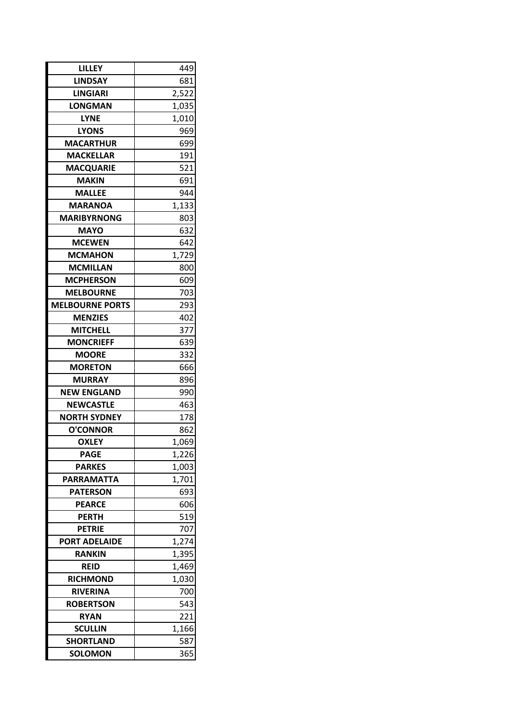| LILLEY                 | 449   |  |
|------------------------|-------|--|
| <b>LINDSAY</b>         | 681   |  |
| <b>LINGIARI</b>        | 2,522 |  |
| <b>LONGMAN</b>         | 1,035 |  |
| <b>LYNE</b>            | 1,010 |  |
| <b>LYONS</b>           | 969   |  |
| <b>MACARTHUR</b>       | 699   |  |
| <b>MACKELLAR</b>       | 191   |  |
| <b>MACQUARIE</b>       | 521   |  |
| <b>MAKIN</b>           | 691   |  |
| <b>MALLEE</b>          | 944   |  |
| <b>MARANOA</b>         | 1,133 |  |
| <b>MARIBYRNONG</b>     | 803   |  |
| <b>MAYO</b>            | 632   |  |
| <b>MCEWEN</b>          | 642   |  |
| <b>MCMAHON</b>         | 1,729 |  |
| <b>MCMILLAN</b>        | 800   |  |
| <b>MCPHERSON</b>       | 609   |  |
| <b>MELBOURNE</b>       | 703   |  |
| <b>MELBOURNE PORTS</b> | 293   |  |
| <b>MENZIES</b>         | 402   |  |
| <b>MITCHELL</b>        | 377   |  |
| <b>MONCRIEFF</b>       | 639   |  |
| <b>MOORE</b>           | 332   |  |
| <b>MORETON</b>         | 666   |  |
| <b>MURRAY</b>          | 896   |  |
| <b>NEW ENGLAND</b>     | 990   |  |
| <b>NEWCASTLE</b>       | 463   |  |
| NORTH SYDNEY           | 178   |  |
| <b>O'CONNOR</b>        | 862   |  |
| <b>OXLEY</b>           | 1,069 |  |
| <b>PAGE</b>            | 1,226 |  |
| <b>PARKES</b>          | 1,003 |  |
| <b>PARRAMATTA</b>      | 1,701 |  |
| <b>PATERSON</b>        | 693   |  |
| <b>PEARCE</b>          | 606   |  |
| <b>PERTH</b>           | 519   |  |
| <b>PETRIE</b>          | 707   |  |
| <b>PORT ADELAIDE</b>   | 1,274 |  |
| <b>RANKIN</b>          | 1,395 |  |
| <b>REID</b>            | 1,469 |  |
| <b>RICHMOND</b>        | 1,030 |  |
| <b>RIVERINA</b>        | 700   |  |
| <b>ROBERTSON</b>       | 543   |  |
| <b>RYAN</b>            | 221   |  |
| <b>SCULLIN</b>         | 1,166 |  |
| <b>SHORTLAND</b>       | 587   |  |
| <b>SOLOMON</b>         | 365   |  |